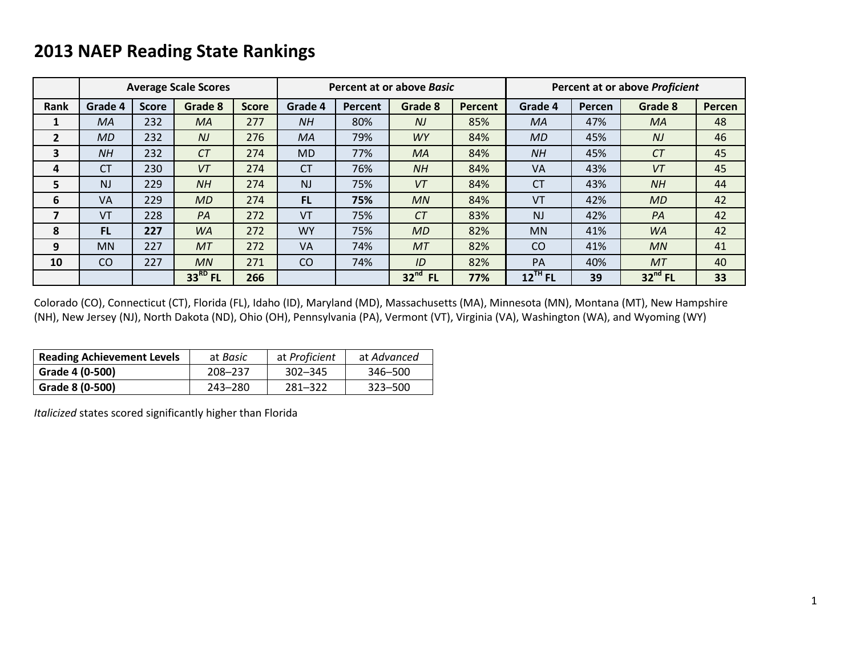# **2013 NAEP Reading State Rankings**

|                |                |              | <b>Average Scale Scores</b> |              |               |         | Percent at or above Basic |         | Percent at or above Proficient |        |           |               |  |
|----------------|----------------|--------------|-----------------------------|--------------|---------------|---------|---------------------------|---------|--------------------------------|--------|-----------|---------------|--|
| Rank           | Grade 4        | <b>Score</b> | Grade 8                     | <b>Score</b> | Grade 4       | Percent | Grade 8                   | Percent | Grade 4                        | Percen | Grade 8   | <b>Percen</b> |  |
|                | <b>MA</b>      | 232          | MA                          | 277          | <b>NH</b>     | 80%     | N <sub>J</sub>            | 85%     | МA                             | 47%    | <b>MA</b> | 48            |  |
| $\overline{2}$ | <b>MD</b>      | 232          | N <sub>J</sub>              | 276          | MA            | 79%     | <b>WY</b>                 | 84%     | <b>MD</b>                      | 45%    | NJ        | 46            |  |
| 3              | <b>NH</b>      | 232          | CT                          | 274          | <b>MD</b>     | 77%     | MA                        | 84%     | <b>NH</b>                      | 45%    | CT        | 45            |  |
| 4              | <b>CT</b>      | 230          | VT                          | 274          | <b>CT</b>     | 76%     | <b>NH</b>                 | 84%     | <b>VA</b>                      | 43%    | VT        | 45            |  |
| 5              | N <sub>J</sub> | 229          | NH                          | 274          | <b>NJ</b>     | 75%     | VT                        | 84%     | <b>CT</b>                      | 43%    | NH        | 44            |  |
| 6              | <b>VA</b>      | 229          | MD                          | 274          | <b>FL</b>     | 75%     | MN                        | 84%     | VT                             | 42%    | <b>MD</b> | 42            |  |
| 7              | VT             | 228          | PA                          | 272          | VT            | 75%     | CT                        | 83%     | N <sub>J</sub>                 | 42%    | PA        | 42            |  |
| 8              | <b>FL</b>      | 227          | <b>WA</b>                   | 272          | <b>WY</b>     | 75%     | <b>MD</b>                 | 82%     | <b>MN</b>                      | 41%    | <b>WA</b> | 42            |  |
| 9              | <b>MN</b>      | 227          | <b>MT</b>                   | 272          | <b>VA</b>     | 74%     | <b>MT</b>                 | 82%     | <b>CO</b>                      | 41%    | MN        | 41            |  |
| 10             | <sub>co</sub>  | 227          | MN                          | 271          | <sub>co</sub> | 74%     | ID                        | 82%     | PA                             | 40%    | MT        | 40            |  |
|                |                |              | $33RD$ FL                   | 266          |               |         | $32nd$ FL                 | 77%     | $12$ <sup>TH</sup> FL          | 39     | $32nd$ FL | 33            |  |

Colorado (CO), Connecticut (CT), Florida (FL), Idaho (ID), Maryland (MD), Massachusetts (MA), Minnesota (MN), Montana (MT), New Hampshire (NH), New Jersey (NJ), North Dakota (ND), Ohio (OH), Pennsylvania (PA), Vermont (VT), Virginia (VA), Washington (WA), and Wyoming (WY)

| <b>Reading Achievement Levels</b> | at <i>Basic</i> | at Proficient | at Advanced |  |  |
|-----------------------------------|-----------------|---------------|-------------|--|--|
| Grade 4 (0-500)                   | 208-237         | 302-345       | 346–500     |  |  |
| Grade 8 (0-500)                   | 243-280         | 281-322       | 323–500     |  |  |

*Italicized* states scored significantly higher than Florida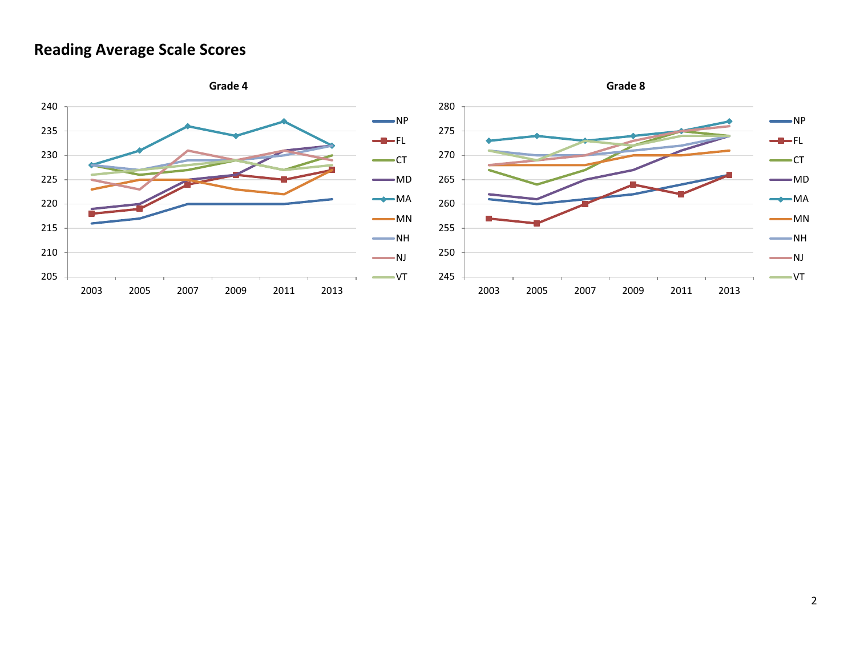### **Reading Average Scale Scores**